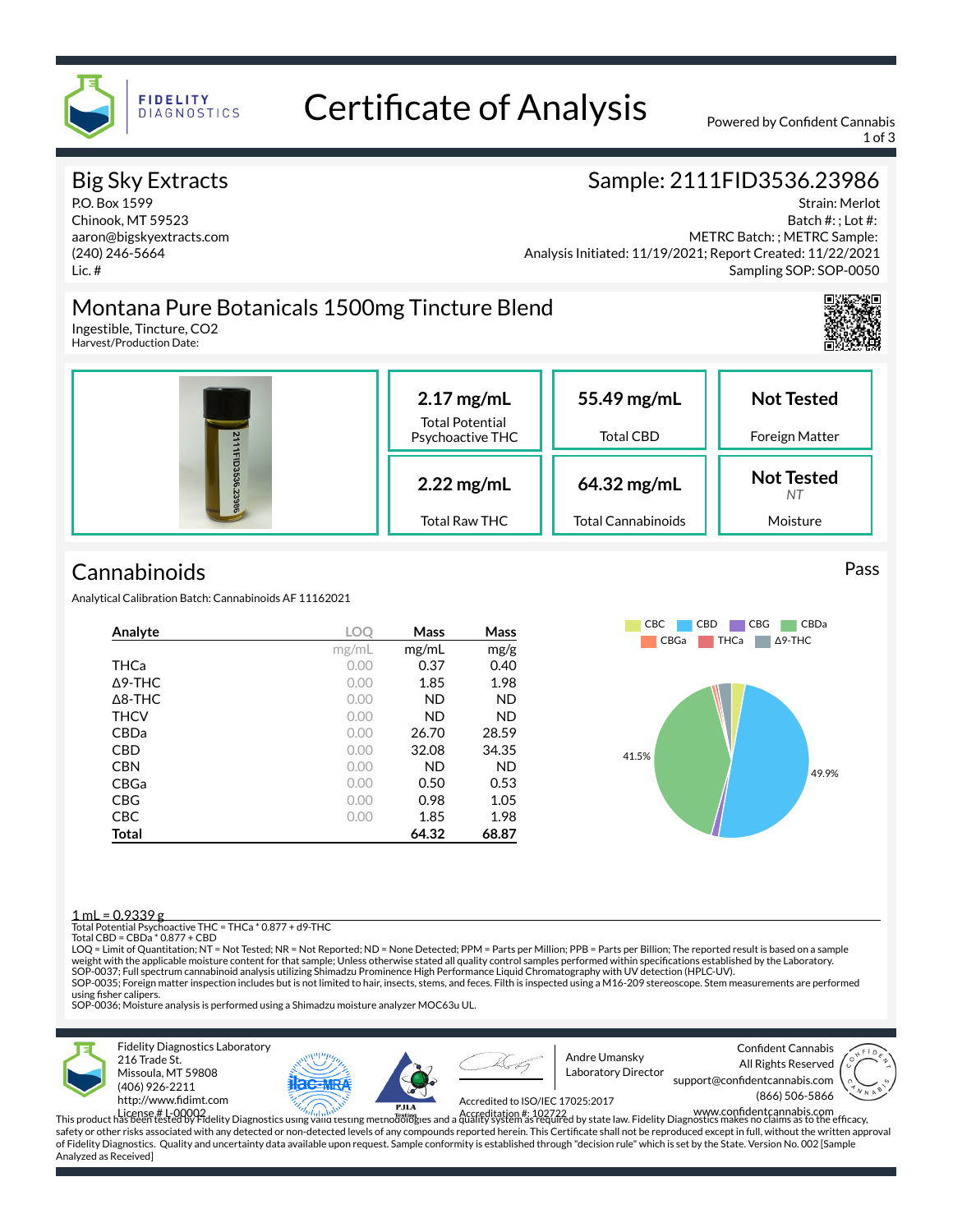

# Certificate of Analysis Powered by Confident Cannabis

1 of 3

### Big Sky Extracts

P.O. Box 1599 Chinook, MT 59523 aaron@bigskyextracts.com (240) 246-5664 Lic. #

#### Sample: 2111FID3536.23986

Strain: Merlot Batch #: ; Lot #: Analysis Initiated: 11/19/2021; Report Created: 11/22/2021 METRC Batch: ; METRC Sample: Sampling SOP: SOP-0050

### Montana Pure Botanicals 1500mg Tincture Blend

Ingestible, Tincture, CO2 Harvest/Production Date:



## **Cannabinoids**

Analytical Calibration Batch: Cannabinoids AF 11162021

| Analyte         | LOC   | Mass      | Mass      |  |
|-----------------|-------|-----------|-----------|--|
|                 | mg/mL | mg/ml     | mg/g      |  |
| THCa            | 0.00  | 0.37      | 0.40      |  |
| $\Lambda$ 9-THC | 0.00  | 1.85      | 1.98      |  |
| A8-THC          | 0.00  | <b>ND</b> | <b>ND</b> |  |
| <b>THCV</b>     | 0.00  | <b>ND</b> | <b>ND</b> |  |
| CBDa            | 0.00  | 26.70     | 28.59     |  |
| <b>CBD</b>      | 0.00  | 32.08     | 34.35     |  |
| <b>CBN</b>      | 0.00  | <b>ND</b> | <b>ND</b> |  |
| <b>CBGa</b>     | 0.00  | 0.50      | 0.53      |  |
| <b>CBG</b>      | 0.00  | 0.98      | 1.05      |  |
| <b>CBC</b>      | 0.00  | 1.85      | 1.98      |  |
| Total           |       | 64.32     | 68.87     |  |



#### $1 \text{ ml} = 0.9339 \text{ g}$

Total Potential Psychoactive THC = THCa \* 0.877 + d9-THC Total CBD = CBDa \* 0.877 + CBD

LOQ = Limit of Quantitation; NT = Not Tested; NR = Not Reported; ND = None Detected; PPM = Parts per Million; PPB = Parts per Billion; The reported result is based on a sample weight with the applicable moisture content for that sample; Unless otherwise stated all quality control samples performed within specications established by the Laboratory. SOP-0037; Full spectrum cannabinoid analysis utilizing Shimadzu Prominence High Performance Liquid Chromatography with UV detection (HPLC-UV). SOP-0035; Foreign matter inspection includes but is not limited to hair, insects, stems, and feces. Filth is inspected using a M16-209 stereoscope. Stem measurements are performed using fisher calipers.

SOP-0036; Moisture analysis is performed using a Shimadzu moisture analyzer MOC63u UL.



Fidelity Diagnostics Laboratory 216 Trade St. Missoula, MT 59808 (406) 926-2211 http://www.fidimt.com





Andre Umansky Laboratory Director

Confident Cannabis All Rights Reserved support@confidentcannabis.com (866) 506-5866



Accredited to ISO/IEC 17025:2017

License # L-00002<br>This product has been tested by Fidelity Diagnostics using valid testing methodologies and a quality system as required by state law. Fidelity Diagnostics makes no claims as to the efficacy, safety or other risks associated with any detected or non-detected levels of any compounds reported herein. This Certificate shall not be reproduced except in full, without the written approval of Fidelity Diagnostics. Quality and uncertainty data available upon request. Sample conformity is established through "decision rule" which is set by the State. Version No. 002 [Sample Analyzed as Received]

#### Pass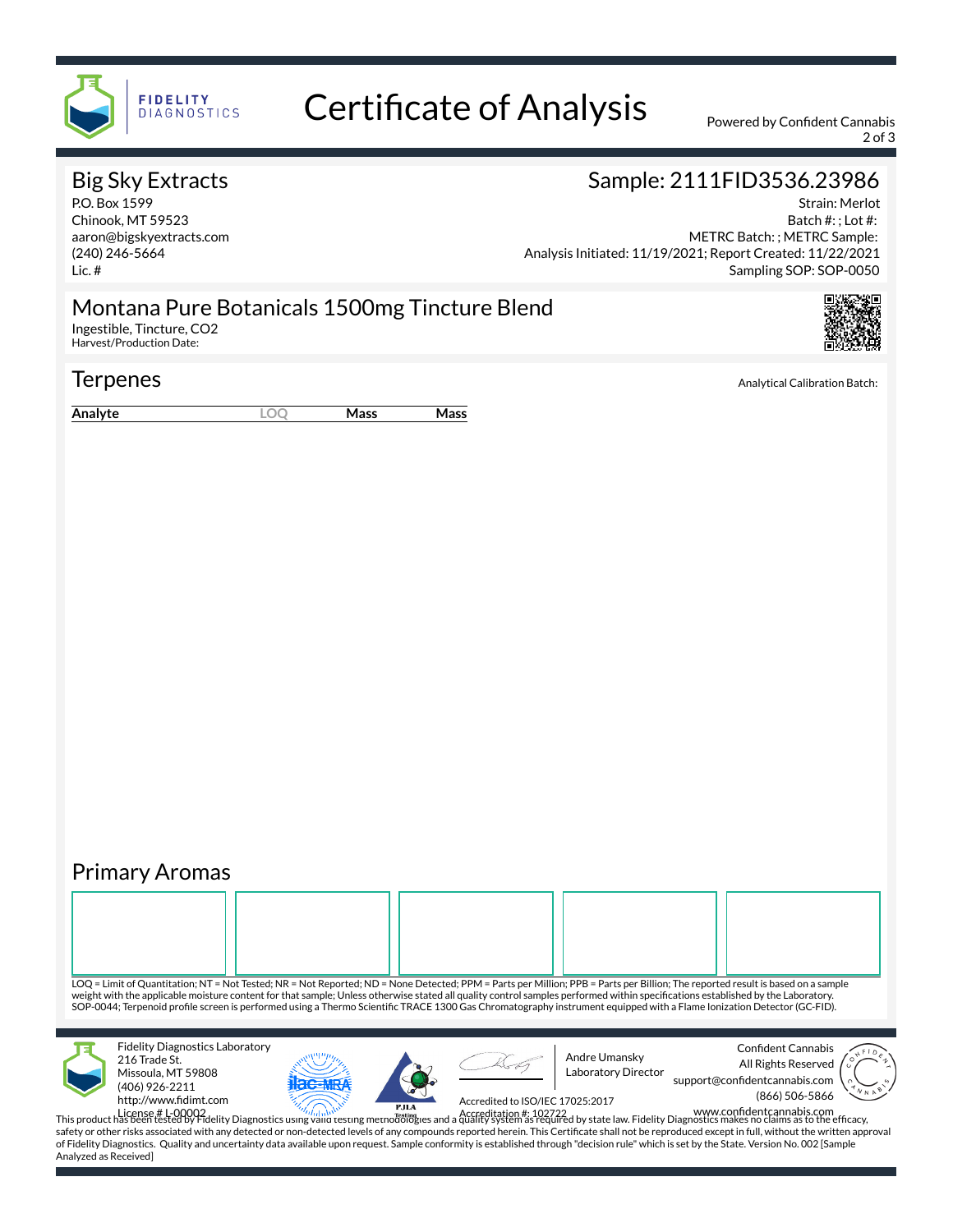

## Certificate of Analysis Powered by Confident Cannabis

2 of 3

#### Big Sky Extracts

P.O. Box 1599 Chinook, MT 59523 aaron@bigskyextracts.com (240) 246-5664 Lic. #

### Sample: 2111FID3536.23986

Strain: Merlot Batch #: ; Lot #: Analysis Initiated: 11/19/2021; Report Created: 11/22/2021 METRC Batch: ; METRC Sample: Sampling SOP: SOP-0050

#### Montana Pure Botanicals 1500mg Tincture Blend

Ingestible, Tincture, CO2 Harvest/Production Date:

#### **Terpenes** Analytical Calibration Batch:

**Analyte LOQ Mass Mass**

### Primary Aromas

LOQ = Limit of Quantitation; NT = Not Tested; NR = Not Reported; ND = None Detected; PPM = Parts per Million; PPB = Parts per Billion; The reported result is based on a sample weight with the applicable moisture content for that sample; Unless otherwise stated all quality control samples performed within specifications established by the Laboratory. SOP-0044; Terpenoid profile screen is performed using a Thermo Scientific TRACE 1300 Gas Chromatography instrument equipped with a Flame Ionization Detector (GC-FID). Fidelity Diagnostics Laboratory 216 Trade St. Missoula, MT 59808 (406) 926-2211 http://www.fidimt.com License # L-00002<br>This product has been tested by Fidelity Diagnostics using valid testing methodologies and a quality system as required by state law. Fidelity Diagnostics makes no claims as to the efficacy, Confident Cannabis All Rights Reserved support@confidentcannabis.com (866) 506-5866 Andre Umansky Laboratory Director Accredited to ISO/IEC 17025:2017

safety or other risks associated with any detected or non-detected levels of any compounds reported herein. This Certificate shall not be reproduced except in full, without the written approval of Fidelity Diagnostics. Quality and uncertainty data available upon request. Sample conformity is established through "decision rule" which is set by the State. Version No. 002 [Sample Analyzed as Received]